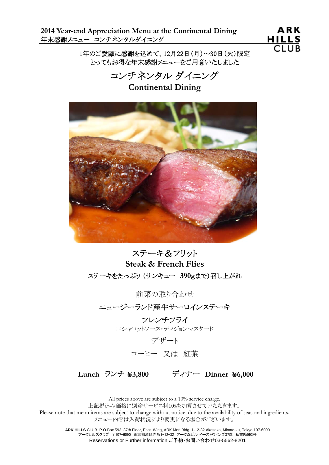**2014 Year-end Appreciation Menu at the Continental Dining**  年末感謝メニュー コンチネンタルダイニング

**ARK HILLS CLUB** 

1年のご愛顧に感謝を込めて、12月22日(月)~30日(火)限定 とってもお得な年末感謝メニューをご用意いたしました

コンチネンタル ダイニング

**Continental Dining**



ステーキ&フリット **Steak & French Flies**  ステーキをたっぷり (サンキュー **390**gまで)召し上がれ

前菜の取り合わせ

ニュージーランド産牛サーロインステーキ

フレンチフライ エシャロットソース・ディジョンマスタード

デザート

コーヒー 又は 紅茶

 **Lunch** ランチ **¥3,800** ディナー **Dinner ¥6,000**

All prices above are subject to a 10% service charge. 上記税込み価格に別途サービス料10%を加算させていただきます。 Please note that menu items are subject to change without notice, due to the availability of seasonal ingredients. メニュー内容は入荷状況により変更になる場合がございます。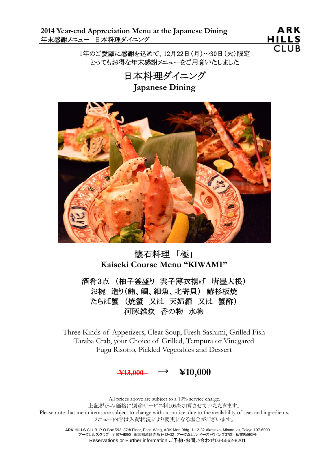**2014 Year-end Appreciation Menu at the Japanese Dining**  年末感謝メニュー 日本料理ダイニング

**ARK** HILLS **CLUB** 

1年のご愛顧に感謝を込めて、12月22日(月)~30日(火)限定 とってもお得な年末感謝メニューをご用意いたしました

> 日本料理ダイニング **Japanese Dining**



# 懐石料理 「極」 **Kaiseki Course Menu "KIWAMI"**

酒肴3点 (柚子釜盛り 雲子薄衣揚げ 唐墨大根) お椀 造り(鮪、鯛、細魚、北寄貝) 鰆杉板焼 たらば蟹 (焼蟹 又は 天婦羅 又は 蟹酢) 河豚雑炊 香の物 水物

Three Kinds of Appetizers, Clear Soup, Fresh Sashimi, Grilled Fish Taraba Crab, your Choice of Grilled, Tempura or Vinegared Fugu Risotto, Pickled Vegetables and Dessert



All prices above are subject to a 10% service charge. 上記税込み価格に別途サービス料10%を加算させていただきます。 Please note that menu items are subject to change without notice, due to the availability of seasonal ingredients. メニュー内容は入荷状況により変更になる場合がございます。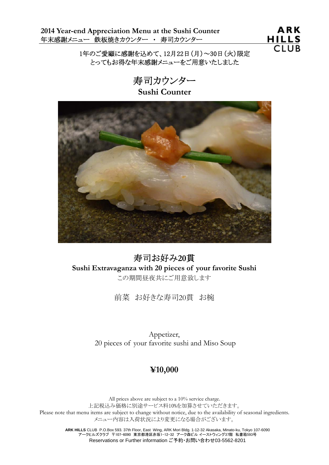**2014 Year-end Appreciation Menu at the Sushi Counter**  年末感謝メニュー 鉄板焼きカウンター ・ 寿司カウンター



1年のご愛顧に感謝を込めて、12月22日(月)~30日(火)限定 とってもお得な年末感謝メニューをご用意いたしました

> 寿司カウンター **Sushi Counter**



寿司お好み**20**貫 **Sushi Extravaganza with 20 pieces of your favorite Sushi**  この期間昼夜共にご用意致します

前菜 お好きな寿司20貫 お椀

Appetizer, 20 pieces of your favorite sushi and Miso Soup

### **¥10,000**

All prices above are subject to a 10% service charge. 上記税込み価格に別途サービス料10%を加算させていただきます。 Please note that menu items are subject to change without notice, due to the availability of seasonal ingredients. メニュー内容は入荷状況により変更になる場合がございます。